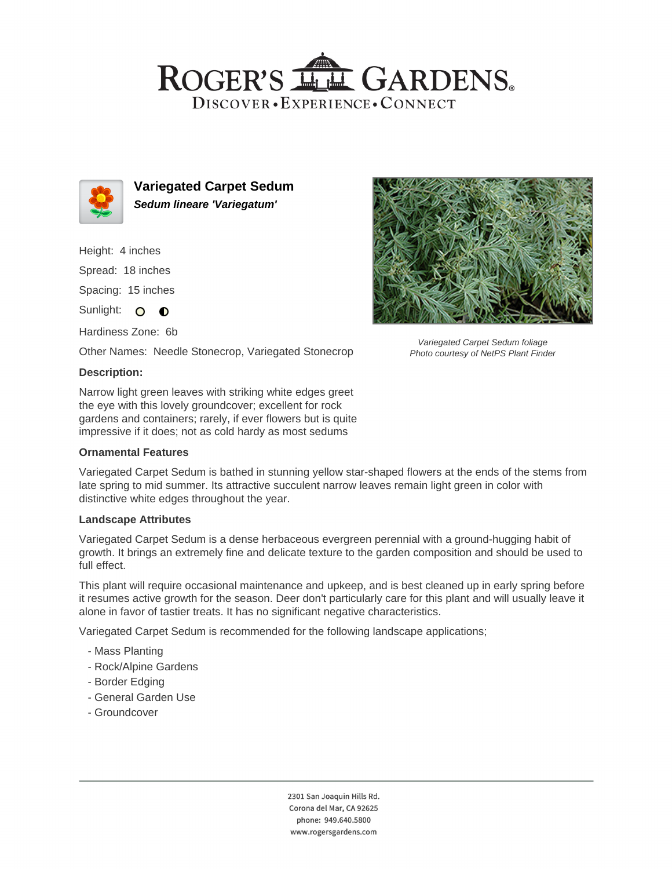## ROGER'S LL GARDENS. DISCOVER · EXPERIENCE · CONNECT



**Variegated Carpet Sedum Sedum lineare 'Variegatum'**

Height: 4 inches

Spread: 18 inches

Spacing: 15 inches

Sunlight: O O

Hardiness Zone: 6b

Other Names: Needle Stonecrop, Variegated Stonecrop

#### **Description:**

Narrow light green leaves with striking white edges greet the eye with this lovely groundcover; excellent for rock gardens and containers; rarely, if ever flowers but is quite impressive if it does; not as cold hardy as most sedums

#### **Ornamental Features**

Variegated Carpet Sedum is bathed in stunning yellow star-shaped flowers at the ends of the stems from late spring to mid summer. Its attractive succulent narrow leaves remain light green in color with distinctive white edges throughout the year.

#### **Landscape Attributes**

Variegated Carpet Sedum is a dense herbaceous evergreen perennial with a ground-hugging habit of growth. It brings an extremely fine and delicate texture to the garden composition and should be used to full effect.

This plant will require occasional maintenance and upkeep, and is best cleaned up in early spring before it resumes active growth for the season. Deer don't particularly care for this plant and will usually leave it alone in favor of tastier treats. It has no significant negative characteristics.

Variegated Carpet Sedum is recommended for the following landscape applications;

- Mass Planting
- Rock/Alpine Gardens
- Border Edging
- General Garden Use
- Groundcover



Variegated Carpet Sedum foliage Photo courtesy of NetPS Plant Finder

2301 San Joaquin Hills Rd. Corona del Mar, CA 92625 phone: 949.640.5800 www.rogersgardens.com